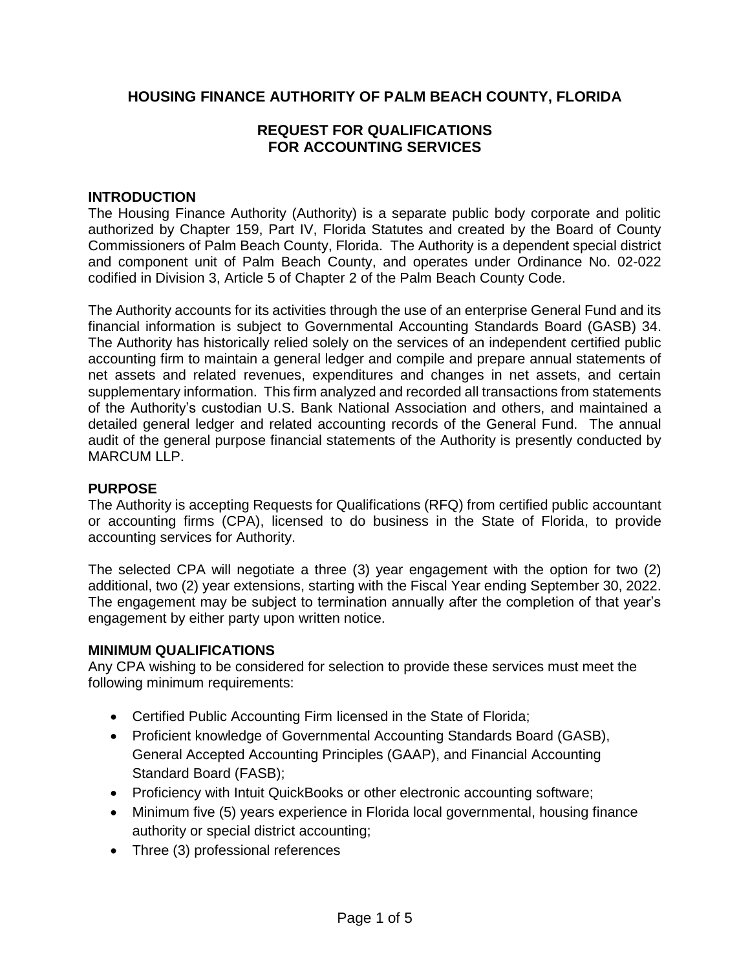## **HOUSING FINANCE AUTHORITY OF PALM BEACH COUNTY, FLORIDA**

## **REQUEST FOR QUALIFICATIONS FOR ACCOUNTING SERVICES**

## **INTRODUCTION**

The Housing Finance Authority (Authority) is a separate public body corporate and politic authorized by Chapter 159, Part IV, Florida Statutes and created by the Board of County Commissioners of Palm Beach County, Florida. The Authority is a dependent special district and component unit of Palm Beach County, and operates under Ordinance No. 02-022 codified in Division 3, Article 5 of Chapter 2 of the Palm Beach County Code.

The Authority accounts for its activities through the use of an enterprise General Fund and its financial information is subject to Governmental Accounting Standards Board (GASB) 34. The Authority has historically relied solely on the services of an independent certified public accounting firm to maintain a general ledger and compile and prepare annual statements of net assets and related revenues, expenditures and changes in net assets, and certain supplementary information. This firm analyzed and recorded all transactions from statements of the Authority's custodian U.S. Bank National Association and others, and maintained a detailed general ledger and related accounting records of the General Fund. The annual audit of the general purpose financial statements of the Authority is presently conducted by MARCUM LLP.

#### **PURPOSE**

The Authority is accepting Requests for Qualifications (RFQ) from certified public accountant or accounting firms (CPA), licensed to do business in the State of Florida, to provide accounting services for Authority.

The selected CPA will negotiate a three (3) year engagement with the option for two (2) additional, two (2) year extensions, starting with the Fiscal Year ending September 30, 2022. The engagement may be subject to termination annually after the completion of that year's engagement by either party upon written notice.

#### **MINIMUM QUALIFICATIONS**

Any CPA wishing to be considered for selection to provide these services must meet the following minimum requirements:

- Certified Public Accounting Firm licensed in the State of Florida;
- Proficient knowledge of Governmental Accounting Standards Board (GASB), General Accepted Accounting Principles (GAAP), and Financial Accounting Standard Board (FASB);
- Proficiency with Intuit QuickBooks or other electronic accounting software;
- Minimum five (5) years experience in Florida local governmental, housing finance authority or special district accounting;
- Three (3) professional references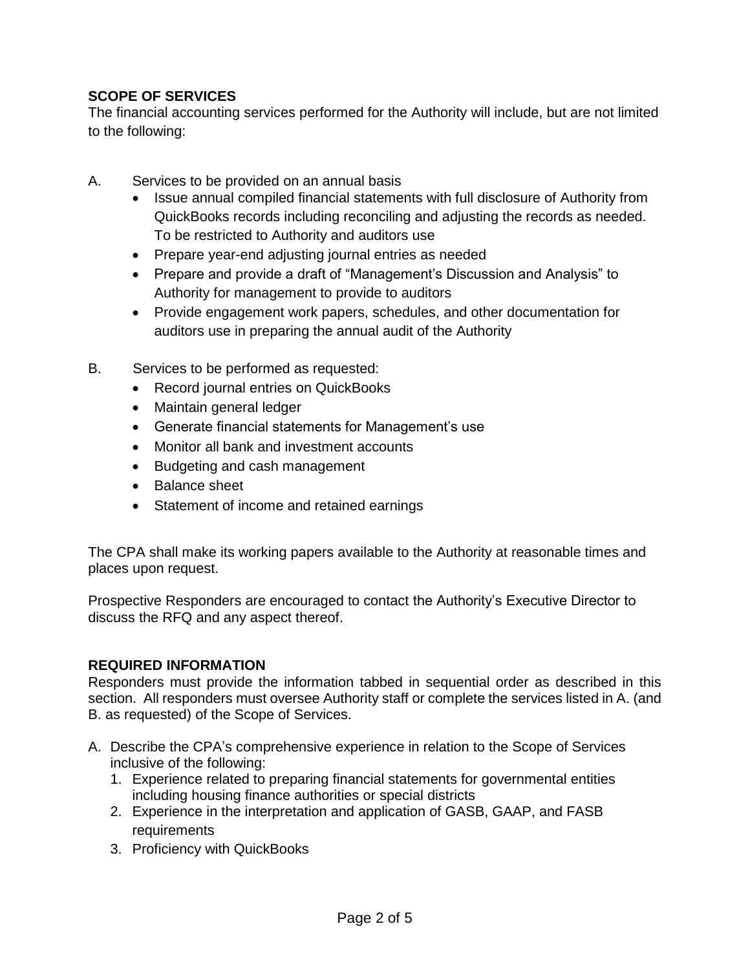# **SCOPE OF SERVICES**

The financial accounting services performed for the Authority will include, but are not limited to the following:

- A. Services to be provided on an annual basis
	- Issue annual compiled financial statements with full disclosure of Authority from QuickBooks records including reconciling and adjusting the records as needed. To be restricted to Authority and auditors use
	- Prepare year-end adjusting journal entries as needed
	- Prepare and provide a draft of "Management's Discussion and Analysis" to Authority for management to provide to auditors
	- Provide engagement work papers, schedules, and other documentation for auditors use in preparing the annual audit of the Authority
- B. Services to be performed as requested:
	- Record journal entries on QuickBooks
	- Maintain general ledger
	- Generate financial statements for Management's use
	- Monitor all bank and investment accounts
	- Budgeting and cash management
	- Balance sheet
	- Statement of income and retained earnings

The CPA shall make its working papers available to the Authority at reasonable times and places upon request.

Prospective Responders are encouraged to contact the Authority's Executive Director to discuss the RFQ and any aspect thereof.

## **REQUIRED INFORMATION**

Responders must provide the information tabbed in sequential order as described in this section. All responders must oversee Authority staff or complete the services listed in A. (and B. as requested) of the Scope of Services.

- A. Describe the CPA's comprehensive experience in relation to the Scope of Services inclusive of the following:
	- 1. Experience related to preparing financial statements for governmental entities including housing finance authorities or special districts
	- 2. Experience in the interpretation and application of GASB, GAAP, and FASB **requirements**
	- 3. Proficiency with QuickBooks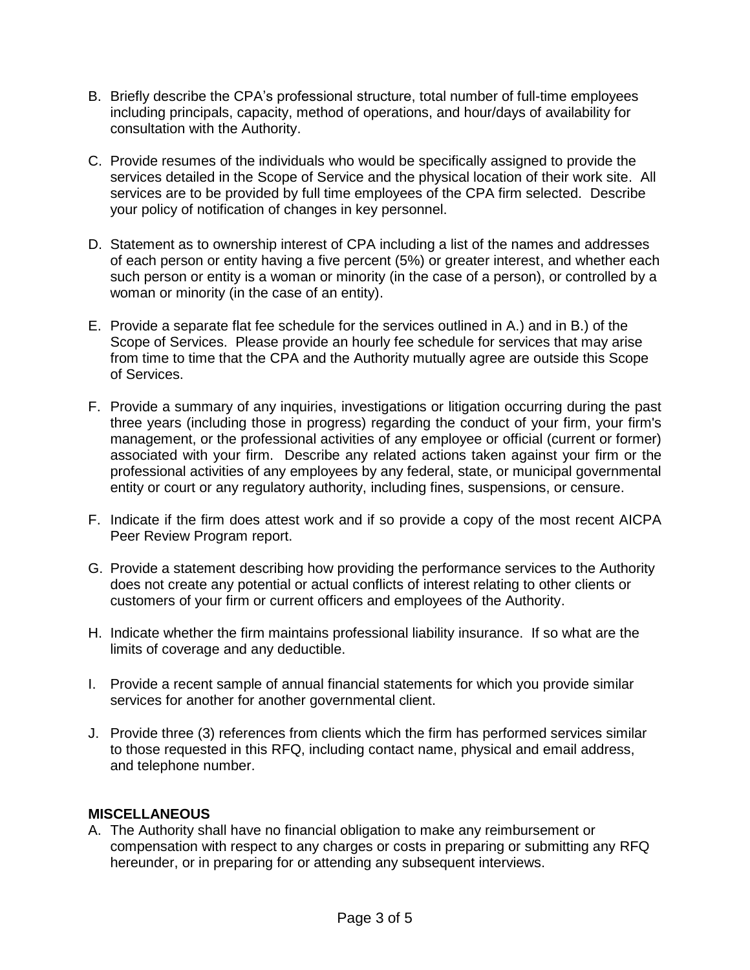- B. Briefly describe the CPA's professional structure, total number of full-time employees including principals, capacity, method of operations, and hour/days of availability for consultation with the Authority.
- C. Provide resumes of the individuals who would be specifically assigned to provide the services detailed in the Scope of Service and the physical location of their work site. All services are to be provided by full time employees of the CPA firm selected. Describe your policy of notification of changes in key personnel.
- D. Statement as to ownership interest of CPA including a list of the names and addresses of each person or entity having a five percent (5%) or greater interest, and whether each such person or entity is a woman or minority (in the case of a person), or controlled by a woman or minority (in the case of an entity).
- E. Provide a separate flat fee schedule for the services outlined in A.) and in B.) of the Scope of Services. Please provide an hourly fee schedule for services that may arise from time to time that the CPA and the Authority mutually agree are outside this Scope of Services.
- F. Provide a summary of any inquiries, investigations or litigation occurring during the past three years (including those in progress) regarding the conduct of your firm, your firm's management, or the professional activities of any employee or official (current or former) associated with your firm. Describe any related actions taken against your firm or the professional activities of any employees by any federal, state, or municipal governmental entity or court or any regulatory authority, including fines, suspensions, or censure.
- F. Indicate if the firm does attest work and if so provide a copy of the most recent AICPA Peer Review Program report.
- G. Provide a statement describing how providing the performance services to the Authority does not create any potential or actual conflicts of interest relating to other clients or customers of your firm or current officers and employees of the Authority.
- H. Indicate whether the firm maintains professional liability insurance. If so what are the limits of coverage and any deductible.
- I. Provide a recent sample of annual financial statements for which you provide similar services for another for another governmental client.
- J. Provide three (3) references from clients which the firm has performed services similar to those requested in this RFQ, including contact name, physical and email address, and telephone number.

## **MISCELLANEOUS**

A. The Authority shall have no financial obligation to make any reimbursement or compensation with respect to any charges or costs in preparing or submitting any RFQ hereunder, or in preparing for or attending any subsequent interviews.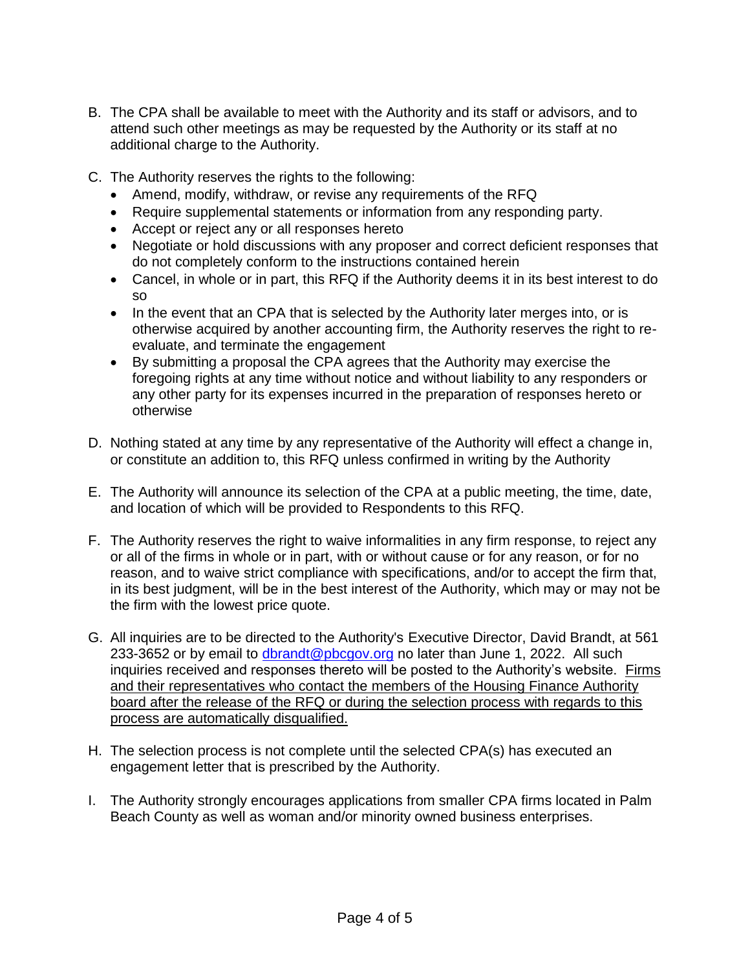- B. The CPA shall be available to meet with the Authority and its staff or advisors, and to attend such other meetings as may be requested by the Authority or its staff at no additional charge to the Authority.
- C. The Authority reserves the rights to the following:
	- Amend, modify, withdraw, or revise any requirements of the RFQ
	- Require supplemental statements or information from any responding party.
	- Accept or reject any or all responses hereto
	- Negotiate or hold discussions with any proposer and correct deficient responses that do not completely conform to the instructions contained herein
	- Cancel, in whole or in part, this RFQ if the Authority deems it in its best interest to do so
	- In the event that an CPA that is selected by the Authority later merges into, or is otherwise acquired by another accounting firm, the Authority reserves the right to reevaluate, and terminate the engagement
	- By submitting a proposal the CPA agrees that the Authority may exercise the foregoing rights at any time without notice and without liability to any responders or any other party for its expenses incurred in the preparation of responses hereto or otherwise
- D. Nothing stated at any time by any representative of the Authority will effect a change in, or constitute an addition to, this RFQ unless confirmed in writing by the Authority
- E. The Authority will announce its selection of the CPA at a public meeting, the time, date, and location of which will be provided to Respondents to this RFQ.
- F. The Authority reserves the right to waive informalities in any firm response, to reject any or all of the firms in whole or in part, with or without cause or for any reason, or for no reason, and to waive strict compliance with specifications, and/or to accept the firm that, in its best judgment, will be in the best interest of the Authority, which may or may not be the firm with the lowest price quote.
- G. All inquiries are to be directed to the Authority's Executive Director, David Brandt, at 561 233-3652 or by email to [dbrandt@pbcgov.org](mailto:dbrandt@pbcgov.org) no later than June 1, 2022. All such inquiries received and responses thereto will be posted to the Authority's website. Firms and their representatives who contact the members of the Housing Finance Authority board after the release of the RFQ or during the selection process with regards to this process are automatically disqualified.
- H. The selection process is not complete until the selected CPA(s) has executed an engagement letter that is prescribed by the Authority.
- I. The Authority strongly encourages applications from smaller CPA firms located in Palm Beach County as well as woman and/or minority owned business enterprises.